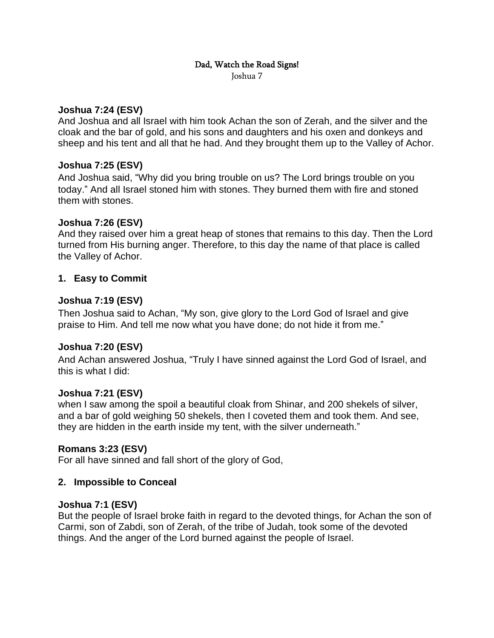# Dad, Watch the Road Signs!

Joshua 7

## **Joshua 7:24 (ESV)**

And Joshua and all Israel with him took Achan the son of Zerah, and the silver and the cloak and the bar of gold, and his sons and daughters and his oxen and donkeys and sheep and his tent and all that he had. And they brought them up to the Valley of Achor.

## **Joshua 7:25 (ESV)**

And Joshua said, "Why did you bring trouble on us? The Lord brings trouble on you today." And all Israel stoned him with stones. They burned them with fire and stoned them with stones.

## **Joshua 7:26 (ESV)**

And they raised over him a great heap of stones that remains to this day. Then the Lord turned from His burning anger. Therefore, to this day the name of that place is called the Valley of Achor.

# **1. Easy to Commit**

## **Joshua 7:19 (ESV)**

Then Joshua said to Achan, "My son, give glory to the Lord God of Israel and give praise to Him. And tell me now what you have done; do not hide it from me."

# **Joshua 7:20 (ESV)**

And Achan answered Joshua, "Truly I have sinned against the Lord God of Israel, and this is what I did:

## **Joshua 7:21 (ESV)**

when I saw among the spoil a beautiful cloak from Shinar, and 200 shekels of silver, and a bar of gold weighing 50 shekels, then I coveted them and took them. And see, they are hidden in the earth inside my tent, with the silver underneath."

## **Romans 3:23 (ESV)**

For all have sinned and fall short of the glory of God,

## **2. Impossible to Conceal**

## **Joshua 7:1 (ESV)**

But the people of Israel broke faith in regard to the devoted things, for Achan the son of Carmi, son of Zabdi, son of Zerah, of the tribe of Judah, took some of the devoted things. And the anger of the Lord burned against the people of Israel.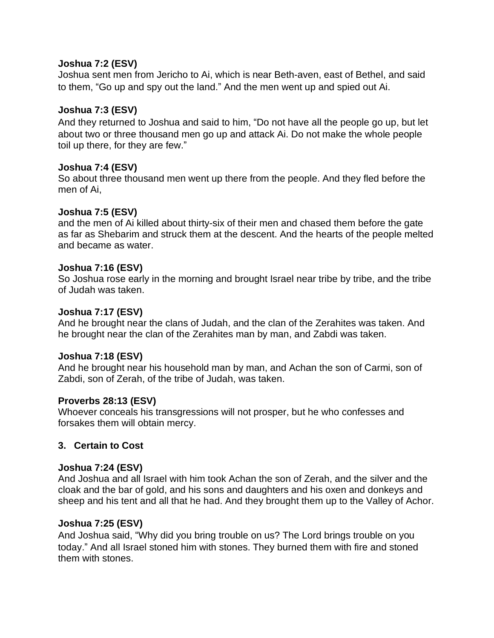### **Joshua 7:2 (ESV)**

Joshua sent men from Jericho to Ai, which is near Beth-aven, east of Bethel, and said to them, "Go up and spy out the land." And the men went up and spied out Ai.

### **Joshua 7:3 (ESV)**

And they returned to Joshua and said to him, "Do not have all the people go up, but let about two or three thousand men go up and attack Ai. Do not make the whole people toil up there, for they are few."

#### **Joshua 7:4 (ESV)**

So about three thousand men went up there from the people. And they fled before the men of Ai,

## **Joshua 7:5 (ESV)**

and the men of Ai killed about thirty-six of their men and chased them before the gate as far as Shebarim and struck them at the descent. And the hearts of the people melted and became as water.

#### **Joshua 7:16 (ESV)**

So Joshua rose early in the morning and brought Israel near tribe by tribe, and the tribe of Judah was taken.

#### **Joshua 7:17 (ESV)**

And he brought near the clans of Judah, and the clan of the Zerahites was taken. And he brought near the clan of the Zerahites man by man, and Zabdi was taken.

#### **Joshua 7:18 (ESV)**

And he brought near his household man by man, and Achan the son of Carmi, son of Zabdi, son of Zerah, of the tribe of Judah, was taken.

## **Proverbs 28:13 (ESV)**

Whoever conceals his transgressions will not prosper, but he who confesses and forsakes them will obtain mercy.

## **3. Certain to Cost**

## **Joshua 7:24 (ESV)**

And Joshua and all Israel with him took Achan the son of Zerah, and the silver and the cloak and the bar of gold, and his sons and daughters and his oxen and donkeys and sheep and his tent and all that he had. And they brought them up to the Valley of Achor.

## **Joshua 7:25 (ESV)**

And Joshua said, "Why did you bring trouble on us? The Lord brings trouble on you today." And all Israel stoned him with stones. They burned them with fire and stoned them with stones.